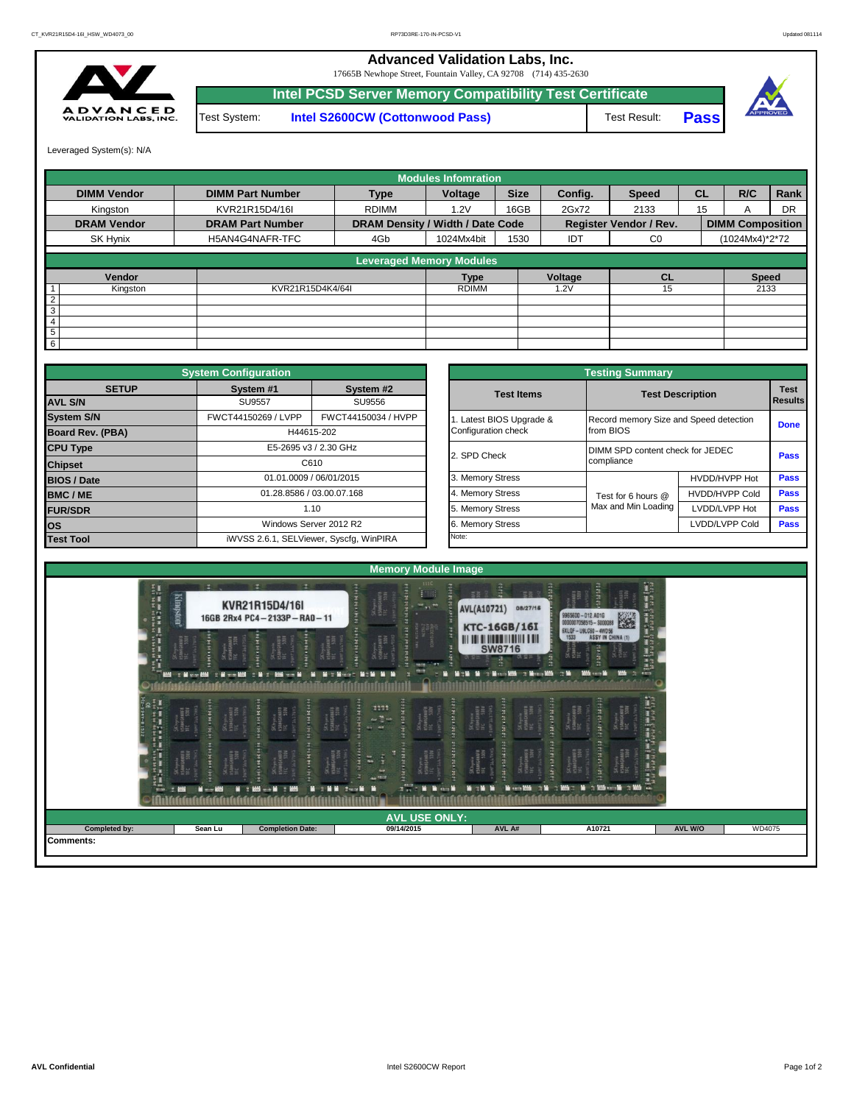## **Advanced Validation Labs, Inc.**

17665B Newhope Street, Fountain Valley, CA 92708 (714) 435-2630



**Intel PCSD Server Memory Compatibility Test Certificate** Test System: **Intel S2600CW (Cottonwood Pass)**





Leveraged System(s): N/A

|                    |                         |                                  | <b>Modules Infomration</b> |             |            |                               |           |                         |           |
|--------------------|-------------------------|----------------------------------|----------------------------|-------------|------------|-------------------------------|-----------|-------------------------|-----------|
| <b>DIMM Vendor</b> | <b>DIMM Part Number</b> | <b>Type</b>                      | Voltage                    | <b>Size</b> | Config.    | <b>Speed</b>                  | <b>CL</b> | R/C                     | Rank      |
| Kinaston           | KVR21R15D4/16I          | <b>RDIMM</b>                     | 1.2V                       | 16GB        | 2Gx72      | 2133                          | 15        | A                       | <b>DR</b> |
| <b>DRAM Vendor</b> | <b>DRAM Part Number</b> | DRAM Density / Width / Date Code |                            |             |            | <b>Register Vendor / Rev.</b> |           | <b>DIMM Composition</b> |           |
| SK Hynix           | H5AN4G4NAFR-TFC         | 4Gb                              | 1024Mx4bit                 | 1530        | <b>IDT</b> | $_{\rm CO}$                   |           | (1024Mx4)*2*72          |           |
|                    |                         | <b>Leveraged Memory Modules</b>  |                            |             |            |                               |           |                         |           |
| Vendor             |                         |                                  | <b>Type</b>                |             | Voltage    | CL                            |           | <b>Speed</b>            |           |
| Kingston           | KVR21R15D4K4/64I        |                                  | <b>RDIMM</b>               |             | .2V        | 15                            |           | 2133                    |           |
| $\overline{2}$     |                         |                                  |                            |             |            |                               |           |                         |           |
| 3                  |                         |                                  |                            |             |            |                               |           |                         |           |
| $\overline{4}$     |                         |                                  |                            |             |            |                               |           |                         |           |
| $\overline{5}$     |                         |                                  |                            |             |            |                               |           |                         |           |
| 6                  |                         |                                  |                            |             |            |                               |           |                         |           |

|                        | <b>System Configuration</b> |                                         |  |                       | <b>Testing Summary</b>                 |                         |                |
|------------------------|-----------------------------|-----------------------------------------|--|-----------------------|----------------------------------------|-------------------------|----------------|
| <b>SETUP</b>           | System #1                   | System #2                               |  | <b>Test Items</b>     |                                        | <b>Test Description</b> | <b>Test</b>    |
| <b>AVL S/N</b>         | <b>SU9557</b>               | SU9556                                  |  |                       |                                        |                         | <b>Results</b> |
| <b>System S/N</b>      | FWCT44150269 / LVPP         | FWCT44150034 / HVPP                     |  | Latest BIOS Upgrade & | Record memory Size and Speed detection |                         | <b>Done</b>    |
| Board Rev. (PBA)       |                             | H44615-202                              |  | Configuration check   | from BIOS                              |                         |                |
| <b>CPU Type</b>        |                             | E5-2695 v3 / 2.30 GHz                   |  | 2. SPD Check          | DIMM SPD content check for JEDEC       |                         | Pass           |
| <b>Chipset</b>         |                             | C610                                    |  |                       | compliance                             |                         |                |
| <b>BIOS / Date</b>     |                             | 01.01.0009 / 06/01/2015                 |  | 3. Memory Stress      |                                        | HVDD/HVPP Hot           | Pass           |
| <b>BMC/ME</b>          |                             | 01.28.8586 / 03.00.07.168               |  | 4. Memory Stress      | Test for 6 hours @                     | <b>HVDD/HVPP Cold</b>   | <b>Pass</b>    |
| 1.10<br><b>FUR/SDR</b> |                             |                                         |  | 5. Memory Stress      | Max and Min Loading                    | LVDD/LVPP Hot           | <b>Pass</b>    |
| los                    |                             | Windows Server 2012 R2                  |  | 6. Memory Stress      |                                        | LVDD/LVPP Cold          | <b>Pass</b>    |
| <b>Test Tool</b>       |                             | iWVSS 2.6.1, SELViewer, Syscfq, WinPIRA |  | Note:                 |                                        |                         |                |

|              | <b>System Configuration</b> |                                         |                       | <b>Testing Summary</b>                 |                                  |                |  |  |
|--------------|-----------------------------|-----------------------------------------|-----------------------|----------------------------------------|----------------------------------|----------------|--|--|
| <b>SETUP</b> | System #1                   | System #2                               | <b>Test Items</b>     | <b>Test Description</b>                |                                  | <b>Test</b>    |  |  |
|              | <b>SU9557</b>               | SU9556                                  |                       |                                        |                                  | <b>Results</b> |  |  |
|              | FWCT44150269 / LVPP         | FWCT44150034 / HVPP                     | Latest BIOS Upgrade & | Record memory Size and Speed detection |                                  |                |  |  |
| PBA)         |                             | H44615-202                              | Configuration check   | from BIOS                              |                                  | <b>Done</b>    |  |  |
|              |                             | E5-2695 v3 / 2.30 GHz                   | 2. SPD Check          |                                        | DIMM SPD content check for JEDEC |                |  |  |
|              |                             | C610                                    |                       | compliance                             |                                  | <b>Pass</b>    |  |  |
|              |                             | 01.01.0009 / 06/01/2015                 | 3. Memory Stress      |                                        | HVDD/HVPP Hot                    | Pass           |  |  |
|              |                             | 01.28.8586 / 03.00.07.168               | 4. Memory Stress      | Test for 6 hours @                     | <b>HVDD/HVPP Cold</b>            | Pass           |  |  |
|              |                             | 1.10                                    | 5. Memory Stress      | Max and Min Loading                    | LVDD/LVPP Hot                    | Pass           |  |  |
|              |                             | Windows Server 2012 R2                  | 6. Memory Stress      |                                        | LVDD/LVPP Cold                   | Pass           |  |  |
|              |                             | iWVSS 2.6.1, SELViewer, Syscfq, WinPIRA | Note:                 |                                        |                                  |                |  |  |

| 化式式式式 计算机管理 重新解释<br>温 | изличники<br>НС 500<br><b>HEFE</b><br>AMGAMAFR<br>C<br>C S30V<br>m | SKhynix<br>HSMAGAMAFR<br>YEC S10U<br>SK hynix<br>10MMG1MFR<br>TEC 330V<br>SChynia<br>H50MGHMFR<br>HC<br><b>GONN</b><br>SK hynia<br>13800 байр<br>112<br><b>THE</b><br><b>M : MM - - M : MM</b> | $\frac{56 \mu m \pi}{154044404}$<br>an an a<br><b>IFT</b><br><b>ABOB</b><br><b>N. M.Y. Moore, No. 98 N.</b><br>n bil<br>$\frac{1111}{\omega^2}$<br>SKbynia<br>Itjangamari<br>Iff<br><b>Cald</b><br>F<br>SChymra<br>HSMICHAUFA<br><b>ALL OF</b><br>$x = 5$<br><b>Manufacturer</b><br><b>Mich Mill Street Mill</b> | <b>SW8716</b><br><b>Book of the Book of the Book</b><br><b>Moranta</b><br>SKhynn<br>Hånsdanafi<br>IFC å10v<br>$\frac{SK_{typical}}{H2M1044447H}$<br><b>FERENCH</b><br>Skipsand<br>Hallendar<br>эж нуучик<br>НБАМБАНАЛТ<br>ТЕС — 530Н<br><b>M 2M M</b> | <b>The Committee</b><br>$\approx$ $\blacksquare$<br>contract creative and many materials of the state of the state of the state of the state of the state of the state of the state of the state of the state of the state of the state of the state of the state of the state of<br><b>Hitterin</b><br><b>Horace</b><br>SKhynix<br>#SAMGAMFR<br>FRC<br>SKhynia<br>NSBMGHARFA<br>TEL STOW<br>erecent<br>SK hynia<br>изданиялася<br>тат, чтой<br>SK hynia<br>15100 байба<br>15C<br><b>TERNIT</b><br>Mar to Middle and Mar to Middle |  |
|-----------------------|--------------------------------------------------------------------|------------------------------------------------------------------------------------------------------------------------------------------------------------------------------------------------|------------------------------------------------------------------------------------------------------------------------------------------------------------------------------------------------------------------------------------------------------------------------------------------------------------------|-------------------------------------------------------------------------------------------------------------------------------------------------------------------------------------------------------------------------------------------------------|------------------------------------------------------------------------------------------------------------------------------------------------------------------------------------------------------------------------------------------------------------------------------------------------------------------------------------------------------------------------------------------------------------------------------------------------------------------------------------------------------------------------------------|--|
|                       |                                                                    |                                                                                                                                                                                                | <b>AVL USE ONLY:</b>                                                                                                                                                                                                                                                                                             |                                                                                                                                                                                                                                                       |                                                                                                                                                                                                                                                                                                                                                                                                                                                                                                                                    |  |